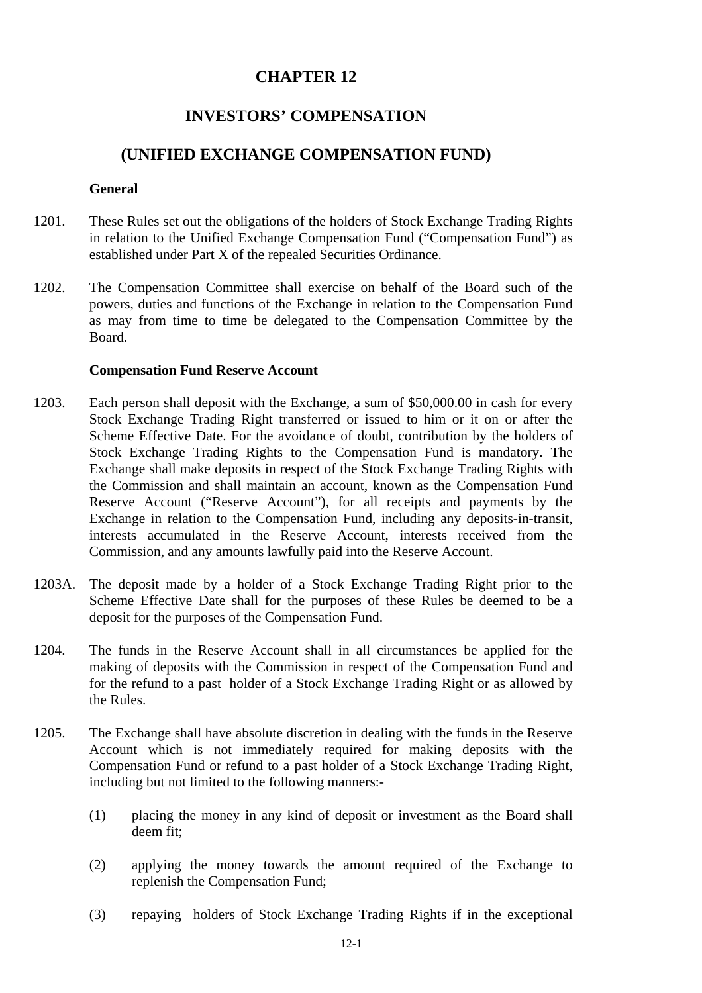## **CHAPTER 12**

# **INVESTORS' COMPENSATION**

## **(UNIFIED EXCHANGE COMPENSATION FUND)**

#### **General**

- 1201. These Rules set out the obligations of the holders of Stock Exchange Trading Rights in relation to the Unified Exchange Compensation Fund ("Compensation Fund") as established under Part X of the repealed Securities Ordinance.
- 1202. The Compensation Committee shall exercise on behalf of the Board such of the powers, duties and functions of the Exchange in relation to the Compensation Fund as may from time to time be delegated to the Compensation Committee by the Board.

#### **Compensation Fund Reserve Account**

- 1203. Each person shall deposit with the Exchange, a sum of \$50,000.00 in cash for every Stock Exchange Trading Right transferred or issued to him or it on or after the Scheme Effective Date. For the avoidance of doubt, contribution by the holders of Stock Exchange Trading Rights to the Compensation Fund is mandatory. The Exchange shall make deposits in respect of the Stock Exchange Trading Rights with the Commission and shall maintain an account, known as the Compensation Fund Reserve Account ("Reserve Account"), for all receipts and payments by the Exchange in relation to the Compensation Fund, including any deposits-in-transit, interests accumulated in the Reserve Account, interests received from the Commission, and any amounts lawfully paid into the Reserve Account.
- 1203A. The deposit made by a holder of a Stock Exchange Trading Right prior to the Scheme Effective Date shall for the purposes of these Rules be deemed to be a deposit for the purposes of the Compensation Fund.
- 1204. The funds in the Reserve Account shall in all circumstances be applied for the making of deposits with the Commission in respect of the Compensation Fund and for the refund to a past holder of a Stock Exchange Trading Right or as allowed by the Rules.
- 1205. The Exchange shall have absolute discretion in dealing with the funds in the Reserve Account which is not immediately required for making deposits with the Compensation Fund or refund to a past holder of a Stock Exchange Trading Right, including but not limited to the following manners:-
	- (1) placing the money in any kind of deposit or investment as the Board shall deem fit;
	- (2) applying the money towards the amount required of the Exchange to replenish the Compensation Fund;
	- (3) repaying holders of Stock Exchange Trading Rights if in the exceptional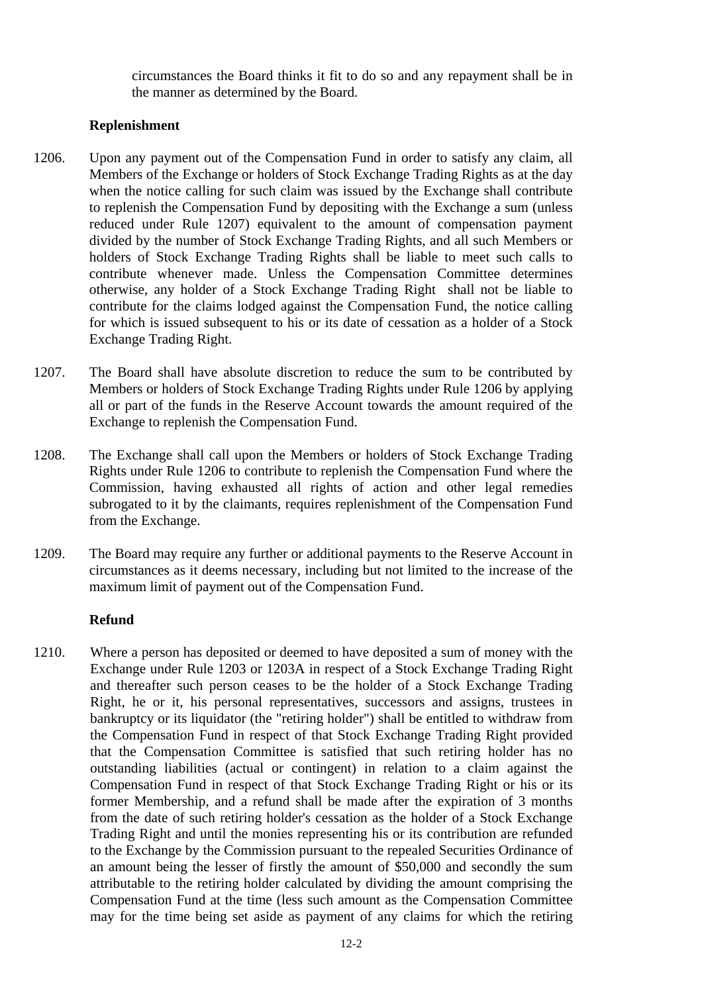circumstances the Board thinks it fit to do so and any repayment shall be in the manner as determined by the Board.

### **Replenishment**

- 1206. Upon any payment out of the Compensation Fund in order to satisfy any claim, all Members of the Exchange or holders of Stock Exchange Trading Rights as at the day when the notice calling for such claim was issued by the Exchange shall contribute to replenish the Compensation Fund by depositing with the Exchange a sum (unless reduced under Rule 1207) equivalent to the amount of compensation payment divided by the number of Stock Exchange Trading Rights, and all such Members or holders of Stock Exchange Trading Rights shall be liable to meet such calls to contribute whenever made. Unless the Compensation Committee determines otherwise, any holder of a Stock Exchange Trading Right shall not be liable to contribute for the claims lodged against the Compensation Fund, the notice calling for which is issued subsequent to his or its date of cessation as a holder of a Stock Exchange Trading Right.
- 1207. The Board shall have absolute discretion to reduce the sum to be contributed by Members or holders of Stock Exchange Trading Rights under Rule 1206 by applying all or part of the funds in the Reserve Account towards the amount required of the Exchange to replenish the Compensation Fund.
- 1208. The Exchange shall call upon the Members or holders of Stock Exchange Trading Rights under Rule 1206 to contribute to replenish the Compensation Fund where the Commission, having exhausted all rights of action and other legal remedies subrogated to it by the claimants, requires replenishment of the Compensation Fund from the Exchange.
- 1209. The Board may require any further or additional payments to the Reserve Account in circumstances as it deems necessary, including but not limited to the increase of the maximum limit of payment out of the Compensation Fund.

## **Refund**

1210. Where a person has deposited or deemed to have deposited a sum of money with the Exchange under Rule 1203 or 1203A in respect of a Stock Exchange Trading Right and thereafter such person ceases to be the holder of a Stock Exchange Trading Right, he or it, his personal representatives, successors and assigns, trustees in bankruptcy or its liquidator (the "retiring holder") shall be entitled to withdraw from the Compensation Fund in respect of that Stock Exchange Trading Right provided that the Compensation Committee is satisfied that such retiring holder has no outstanding liabilities (actual or contingent) in relation to a claim against the Compensation Fund in respect of that Stock Exchange Trading Right or his or its former Membership, and a refund shall be made after the expiration of 3 months from the date of such retiring holder's cessation as the holder of a Stock Exchange Trading Right and until the monies representing his or its contribution are refunded to the Exchange by the Commission pursuant to the repealed Securities Ordinance of an amount being the lesser of firstly the amount of \$50,000 and secondly the sum attributable to the retiring holder calculated by dividing the amount comprising the Compensation Fund at the time (less such amount as the Compensation Committee may for the time being set aside as payment of any claims for which the retiring